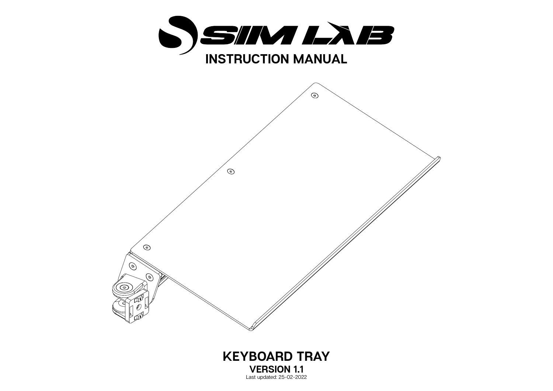



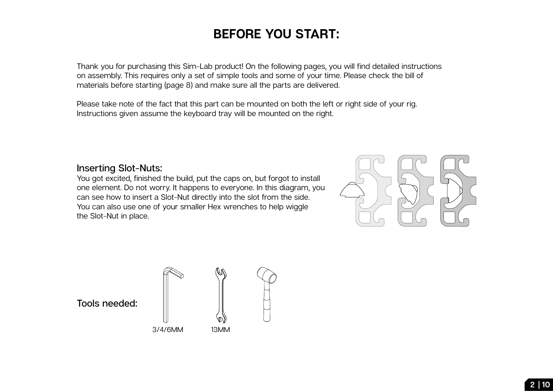## **BEFORE YOU START:**

Thank you for purchasing this Sim-Lab product! On the following pages, you will find detailed instructions on assembly. This requires only a set of simple tools and some of your time. Please check the bill of materials before starting (page 8) and make sure all the parts are delivered.

Please take note of the fact that this part can be mounted on both the left or right side of your rig. Instructions given assume the keyboard tray will be mounted on the right.

## **Inserting Slot-Nuts:**

You got excited, finished the build, put the caps on, but forgot to install one element. Do not worry. It happens to everyone. In this diagram, you can see how to insert a Slot-Nut directly into the slot from the side. You can also use one of your smaller Hex wrenches to help wiggle the Slot-Nut in place.



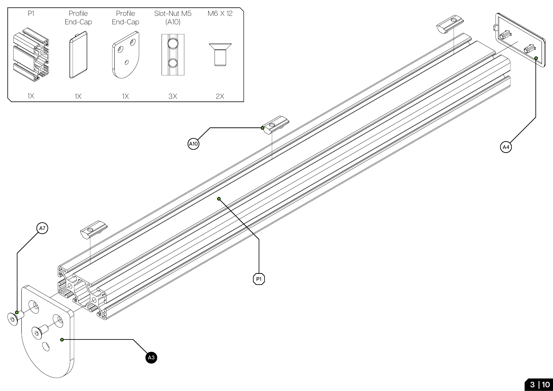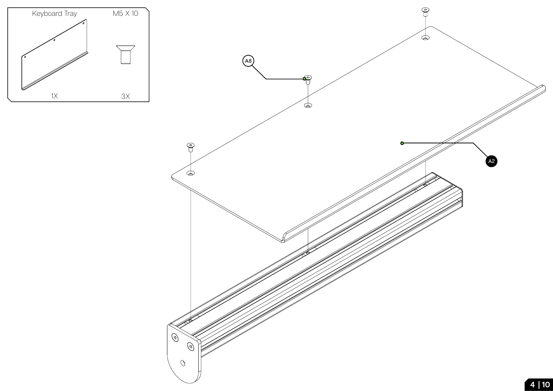

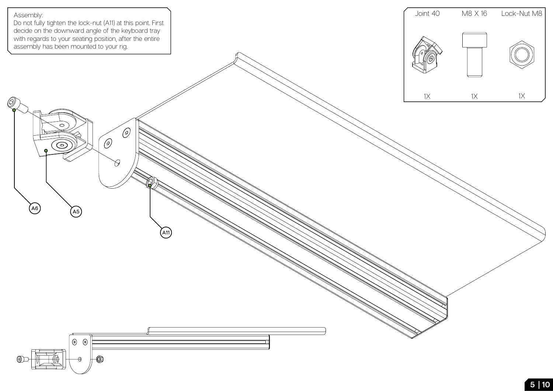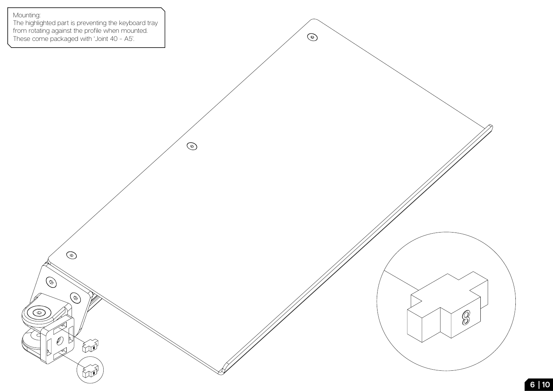

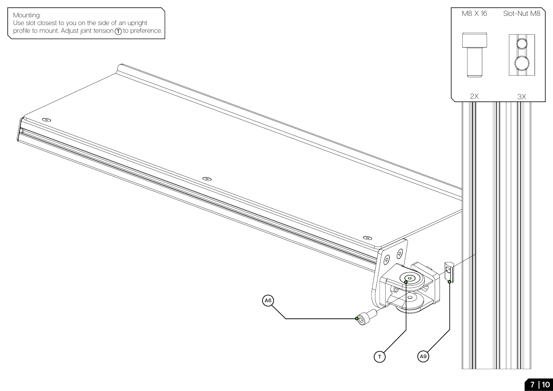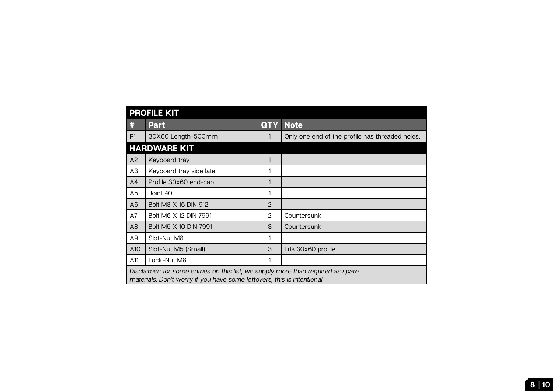| <b>PROFILE KIT</b>                                                                                                                                          |                         |                      |                                                 |
|-------------------------------------------------------------------------------------------------------------------------------------------------------------|-------------------------|----------------------|-------------------------------------------------|
| #                                                                                                                                                           | <b>Part</b>             | <b>QTY</b>           | <b>Note</b>                                     |
| P1                                                                                                                                                          | 30X60 Length=500mm      |                      | Only one end of the profile has threaded holes. |
| <b>HARDWARE KIT</b>                                                                                                                                         |                         |                      |                                                 |
| A2                                                                                                                                                          | Keyboard tray           |                      |                                                 |
| A3                                                                                                                                                          | Keyboard tray side late |                      |                                                 |
| A4                                                                                                                                                          | Profile 30x60 end-cap   |                      |                                                 |
| A <sub>5</sub>                                                                                                                                              | Joint 40                |                      |                                                 |
| A6                                                                                                                                                          | Bolt M8 X 16 DIN 912    | 2                    |                                                 |
| A7                                                                                                                                                          | Bolt M6 X 12 DIN 7991   | $\mathbf{2}^{\circ}$ | Countersunk                                     |
| A <sub>8</sub>                                                                                                                                              | Bolt M5 X 10 DIN 7991   | 3                    | Countersunk                                     |
| A9                                                                                                                                                          | Slot-Nut M8             |                      |                                                 |
| A10                                                                                                                                                         | Slot-Nut M5 (Small)     | 3                    | Fits 30x60 profile                              |
| A11                                                                                                                                                         | Lock-Nut M8             |                      |                                                 |
| Disclaimer: for some entries on this list, we supply more than required as spare<br>materials. Don't worry if you have some leftovers, this is intentional. |                         |                      |                                                 |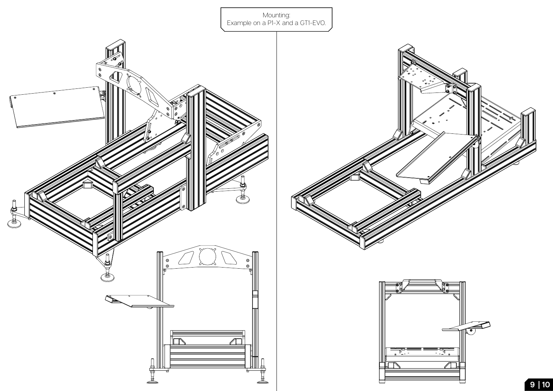